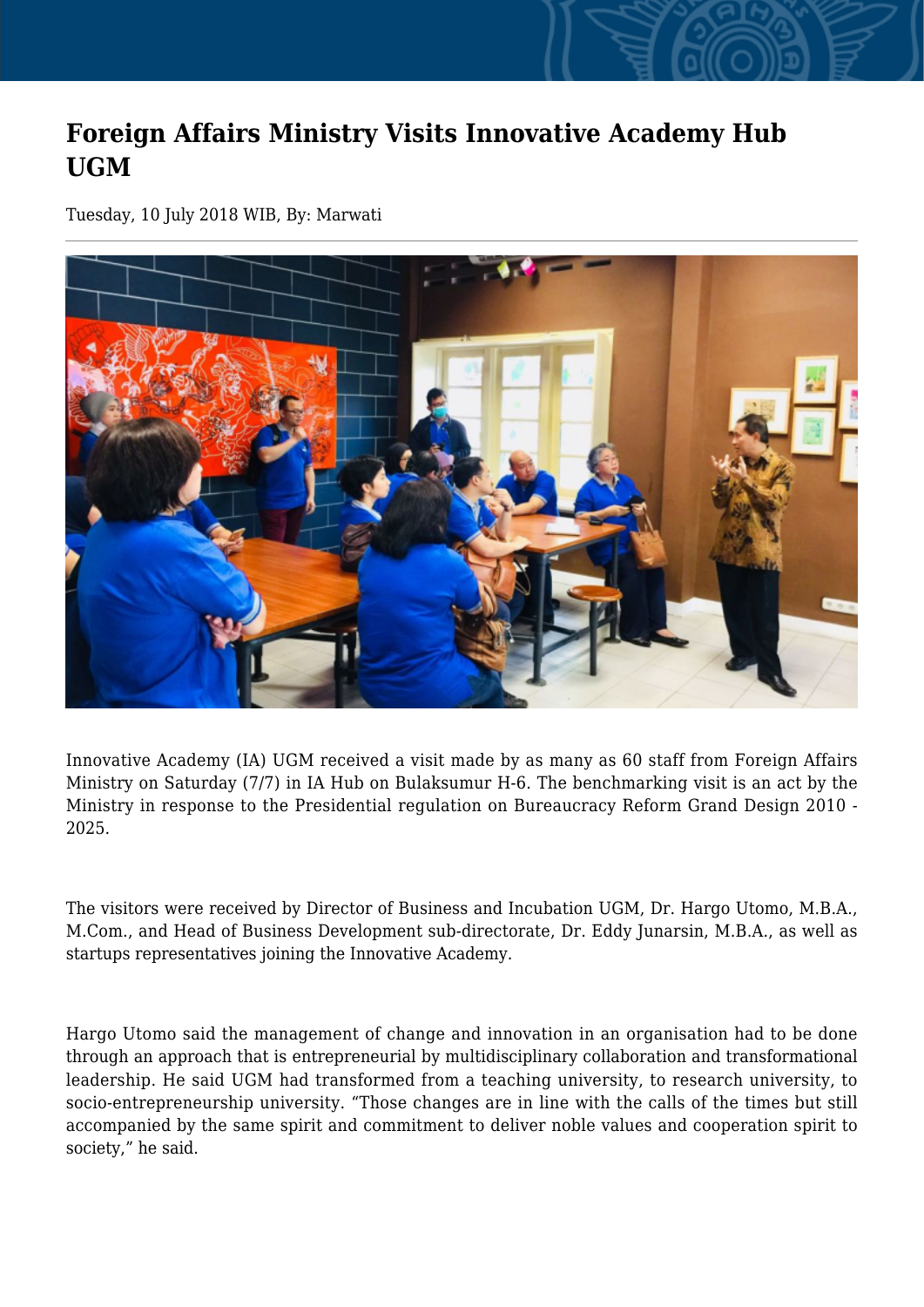## **Foreign Affairs Ministry Visits Innovative Academy Hub UGM**

Tuesday, 10 July 2018 WIB, By: Marwati



Innovative Academy (IA) UGM received a visit made by as many as 60 staff from Foreign Affairs Ministry on Saturday (7/7) in IA Hub on Bulaksumur H-6. The benchmarking visit is an act by the Ministry in response to the Presidential regulation on Bureaucracy Reform Grand Design 2010 - 2025.

The visitors were received by Director of Business and Incubation UGM, Dr. Hargo Utomo, M.B.A., M.Com., and Head of Business Development sub-directorate, Dr. Eddy Junarsin, M.B.A., as well as startups representatives joining the Innovative Academy.

Hargo Utomo said the management of change and innovation in an organisation had to be done through an approach that is entrepreneurial by multidisciplinary collaboration and transformational leadership. He said UGM had transformed from a teaching university, to research university, to socio-entrepreneurship university. "Those changes are in line with the calls of the times but still accompanied by the same spirit and commitment to deliver noble values and cooperation spirit to society," he said.